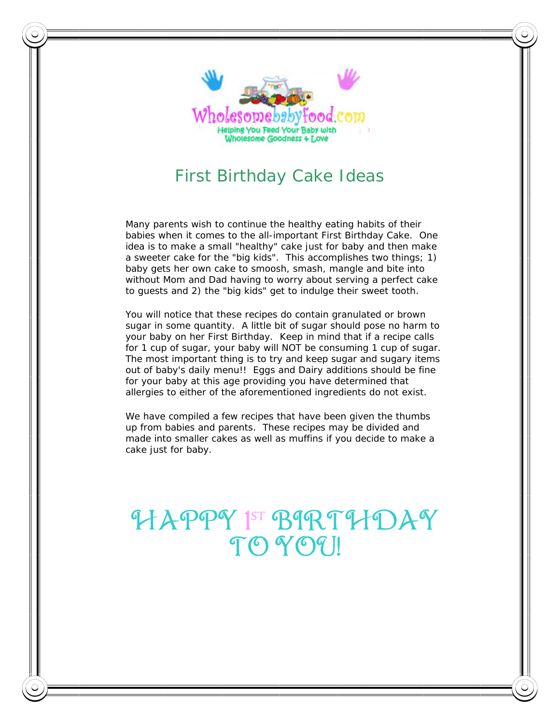

Many parents wish to continue the healthy eating habits of their babies when it comes to the all-important First Birthday Cake. One idea is to make a small "healthy" cake just for baby and then make a sweeter cake for the "big kids". This accomplishes two things; 1) baby gets her own cake to smoosh, smash, mangle and bite into without Mom and Dad having to worry about serving a perfect cake to guests and 2) the "big kids" get to indulge their sweet tooth.

You will notice that these recipes do contain granulated or brown sugar in some quantity. A little bit of sugar should pose no harm to your baby on her First Birthday. Keep in mind that if a recipe calls for 1 cup of sugar, your baby will NOT be consuming 1 cup of sugar. The most important thing is to try and keep sugar and sugary items out of baby's daily menu!! Eggs and Dairy additions should be fine for your baby at this age providing you have determined that allergies to either of the aforementioned ingredients do not exist.

We have compiled a few recipes that have been given the thumbs up from babies and parents. These recipes may be divided and made into smaller cakes as well as muffins if you decide to make a cake just for baby.

# HAPPY 1 st BIRTHDAY TO YOU!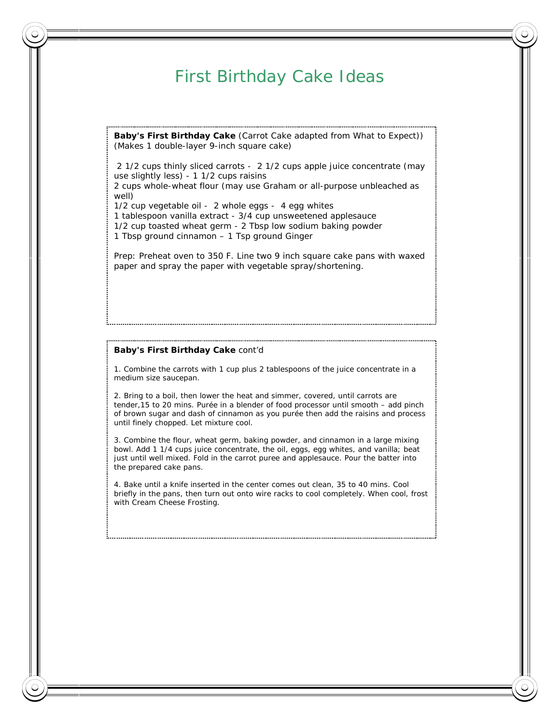**Baby's First Birthday Cake** (Carrot Cake adapted from What to Expect)) (Makes 1 double-layer 9-inch square cake)

 2 1/2 cups thinly sliced carrots - 2 1/2 cups apple juice concentrate (may use slightly less) - 1 1/2 cups raisins

2 cups whole-wheat flour (may use Graham or all-purpose unbleached as well)

1/2 cup vegetable oil - 2 whole eggs - 4 egg whites

1 tablespoon vanilla extract - 3/4 cup unsweetened applesauce

1/2 cup toasted wheat germ - 2 Tbsp low sodium baking powder

1 Tbsp ground cinnamon – 1 Tsp ground Ginger

Prep: Preheat oven to 350 F. Line two 9 inch square cake pans with waxed paper and spray the paper with vegetable spray/shortening.

#### **Baby's First Birthday Cake** cont'd

1. Combine the carrots with 1 cup plus 2 tablespoons of the juice concentrate in a medium size saucepan.

2. Bring to a boil, then lower the heat and simmer, covered, until carrots are tender,15 to 20 mins. Purée in a blender of food processor until smooth – add pinch of brown sugar and dash of cinnamon as you purée then add the raisins and process until finely chopped. Let mixture cool.

3. Combine the flour, wheat germ, baking powder, and cinnamon in a large mixing bowl. Add 1 1/4 cups juice concentrate, the oil, eggs, egg whites, and vanilla; beat just until well mixed. Fold in the carrot puree and applesauce. Pour the batter into the prepared cake pans.

4. Bake until a knife inserted in the center comes out clean, 35 to 40 mins. Cool briefly in the pans, then turn out onto wire racks to cool completely. When cool, frost with Cream Cheese Frosting.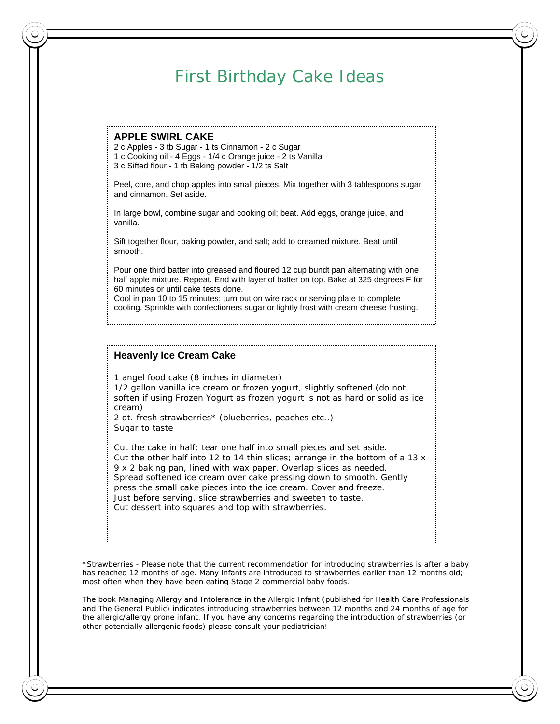#### **APPLE SWIRL CAKE**

2 c Apples - 3 tb Sugar - 1 ts Cinnamon - 2 c Sugar 1 c Cooking oil - 4 Eggs - 1/4 c Orange juice - 2 ts Vanilla 3 c Sifted flour - 1 tb Baking powder - 1/2 ts Salt

Peel, core, and chop apples into small pieces. Mix together with 3 tablespoons sugar and cinnamon. Set aside.

In large bowl, combine sugar and cooking oil; beat. Add eggs, orange juice, and vanilla.

Sift together flour, baking powder, and salt; add to creamed mixture. Beat until smooth.

Pour one third batter into greased and floured 12 cup bundt pan alternating with one half apple mixture. Repeat. End with layer of batter on top. Bake at 325 degrees F for 60 minutes or until cake tests done.

Cool in pan 10 to 15 minutes; turn out on wire rack or serving plate to complete cooling. Sprinkle with confectioners sugar or lightly frost with cream cheese frosting.

#### **Heavenly Ice Cream Cake**

1 angel food cake (8 inches in diameter) 1/2 gallon vanilla ice cream or frozen yogurt, slightly softened (do not soften if using Frozen Yogurt as frozen yogurt is not as hard or solid as ice cream)

2 qt. fresh strawberries\* (blueberries, peaches etc..) Sugar to taste

Cut the cake in half; tear one half into small pieces and set aside. Cut the other half into 12 to 14 thin slices; arrange in the bottom of a 13 x 9 x 2 baking pan, lined with wax paper. Overlap slices as needed. Spread softened ice cream over cake pressing down to smooth. Gently press the small cake pieces into the ice cream. Cover and freeze. Just before serving, slice strawberries and sweeten to taste. Cut dessert into squares and top with strawberries.

\*Strawberries - Please note that the current recommendation for introducing strawberries is after a baby has reached 12 months of age. Many infants are introduced to strawberries earlier than 12 months old; most often when they have been eating Stage 2 commercial baby foods.

The book Managing Allergy and Intolerance in the Allergic Infant (published for Health Care Professionals and The General Public) indicates introducing strawberries between 12 months and 24 months of age for the allergic/allergy prone infant. If you have any concerns regarding the introduction of strawberries (or other potentially allergenic foods) please consult your pediatrician!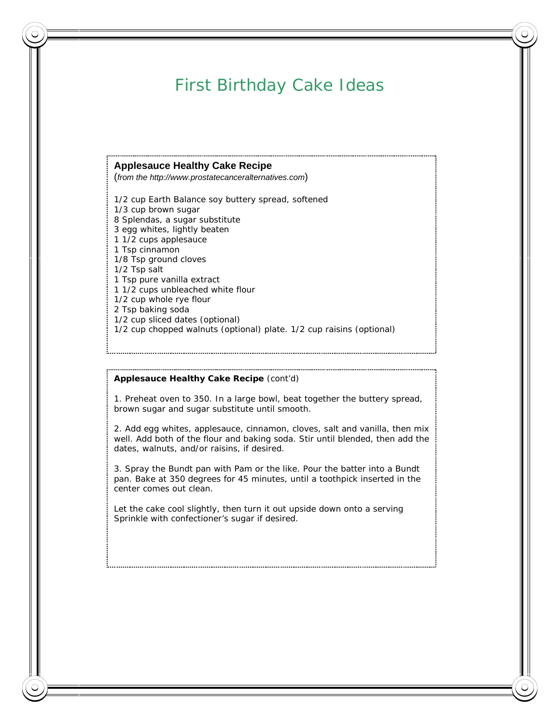#### **Applesauce Healthy Cake Recipe**

(*from the http://www.prostatecanceralternatives.com*)

1/2 cup Earth Balance soy buttery spread, softened 1/3 cup brown sugar 8 Splendas, a sugar substitute 3 egg whites, lightly beaten 1 1/2 cups applesauce 1 Tsp cinnamon 1/8 Tsp ground cloves 1/2 Tsp salt 1 Tsp pure vanilla extract 1 1/2 cups unbleached white flour 1/2 cup whole rye flour 2 Tsp baking soda 1/2 cup sliced dates (optional) 1/2 cup chopped walnuts (optional) plate. 1/2 cup raisins (optional)

#### **Applesauce Healthy Cake Recipe** (cont'd)

1. Preheat oven to 350. In a large bowl, beat together the buttery spread, brown sugar and sugar substitute until smooth.

2. Add egg whites, applesauce, cinnamon, cloves, salt and vanilla, then mix well. Add both of the flour and baking soda. Stir until blended, then add the dates, walnuts, and/or raisins, if desired.

3. Spray the Bundt pan with Pam or the like. Pour the batter into a Bundt pan. Bake at 350 degrees for 45 minutes, until a toothpick inserted in the center comes out clean.

Let the cake cool slightly, then turn it out upside down onto a serving Sprinkle with confectioner's sugar if desired.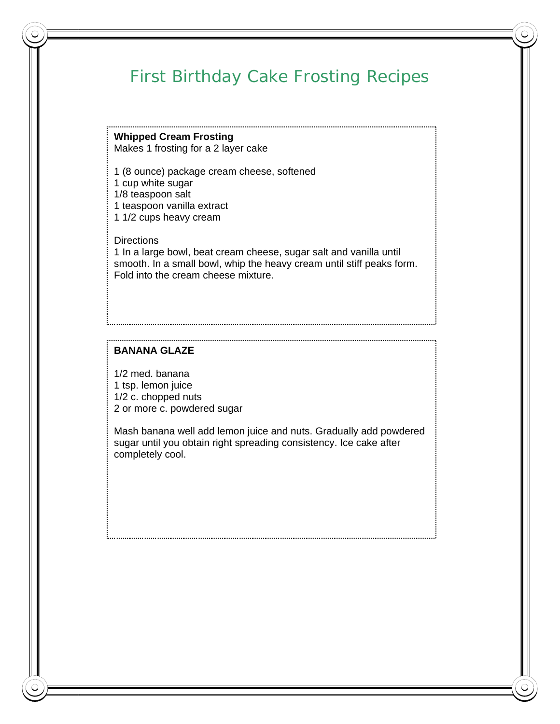# First Birthday Cake Frosting Recipes

**Whipped Cream Frosting**  Makes 1 frosting for a 2 layer cake

1 (8 ounce) package cream cheese, softened

1 cup white sugar

1/8 teaspoon salt

1 teaspoon vanilla extract

1 1/2 cups heavy cream

**Directions** 1 In a large bowl, beat cream cheese, sugar salt and vanilla until smooth. In a small bowl, whip the heavy cream until stiff peaks form. Fold into the cream cheese mixture.

#### **BANANA GLAZE**

1/2 med. banana 1 tsp. lemon juice 1/2 c. chopped nuts 2 or more c. powdered sugar

Mash banana well add lemon juice and nuts. Gradually add powdered sugar until you obtain right spreading consistency. Ice cake after completely cool.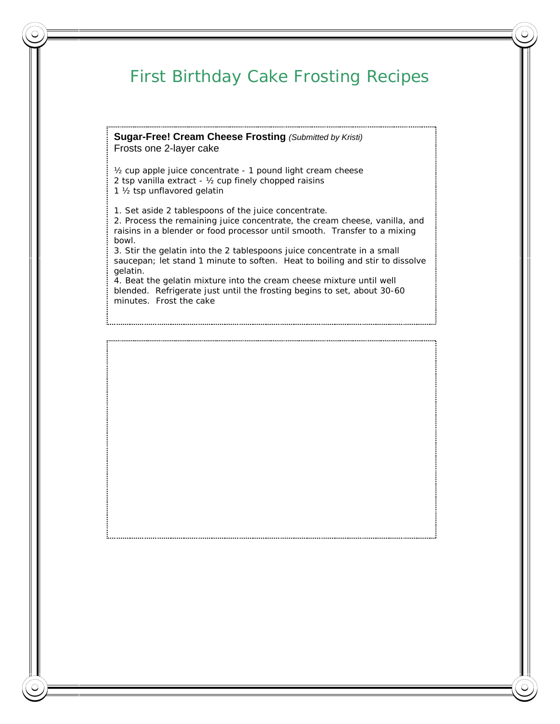## First Birthday Cake Frosting Recipes

**Sugar-Free! Cream Cheese Frosting** *(Submitted by Kristi)*  Frosts one 2-layer cake

½ cup apple juice concentrate - 1 pound light cream cheese 2 tsp vanilla extract - ½ cup finely chopped raisins 1 ½ tsp unflavored gelatin

1. Set aside 2 tablespoons of the juice concentrate.

2. Process the remaining juice concentrate, the cream cheese, vanilla, and raisins in a blender or food processor until smooth. Transfer to a mixing bowl.

3. Stir the gelatin into the 2 tablespoons juice concentrate in a small saucepan; let stand 1 minute to soften. Heat to boiling and stir to dissolve gelatin.

4. Beat the gelatin mixture into the cream cheese mixture until well blended. Refrigerate just until the frosting begins to set, about 30-60 minutes. Frost the cake